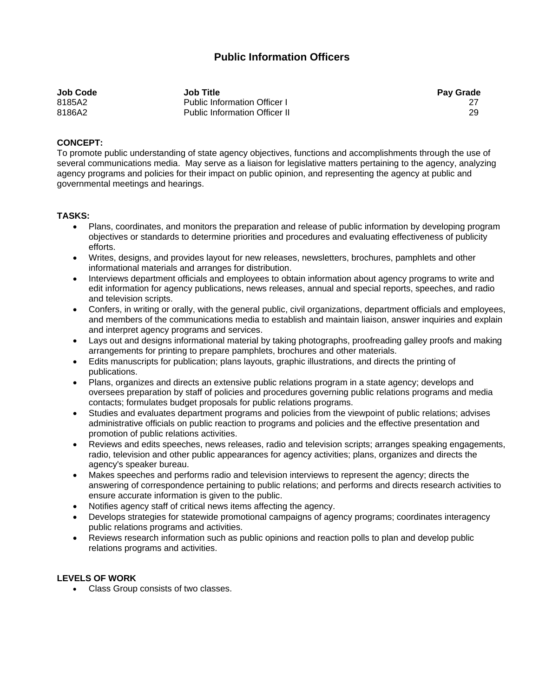## **Public Information Officers**

| Job Code | <b>Job Title</b>                     | <b>Pay Grade</b> |
|----------|--------------------------------------|------------------|
| 8185A2   | <b>Public Information Officer I</b>  |                  |
| 8186A2   | <b>Public Information Officer II</b> | 29               |

## **CONCEPT:**

To promote public understanding of state agency objectives, functions and accomplishments through the use of several communications media. May serve as a liaison for legislative matters pertaining to the agency, analyzing agency programs and policies for their impact on public opinion, and representing the agency at public and governmental meetings and hearings.

## **TASKS:**

- Plans, coordinates, and monitors the preparation and release of public information by developing program objectives or standards to determine priorities and procedures and evaluating effectiveness of publicity efforts.
- Writes, designs, and provides layout for new releases, newsletters, brochures, pamphlets and other informational materials and arranges for distribution.
- Interviews department officials and employees to obtain information about agency programs to write and edit information for agency publications, news releases, annual and special reports, speeches, and radio and television scripts.
- Confers, in writing or orally, with the general public, civil organizations, department officials and employees, and members of the communications media to establish and maintain liaison, answer inquiries and explain and interpret agency programs and services.
- Lays out and designs informational material by taking photographs, proofreading galley proofs and making arrangements for printing to prepare pamphlets, brochures and other materials.
- Edits manuscripts for publication; plans layouts, graphic illustrations, and directs the printing of publications.
- Plans, organizes and directs an extensive public relations program in a state agency; develops and oversees preparation by staff of policies and procedures governing public relations programs and media contacts; formulates budget proposals for public relations programs.
- Studies and evaluates department programs and policies from the viewpoint of public relations; advises administrative officials on public reaction to programs and policies and the effective presentation and promotion of public relations activities.
- Reviews and edits speeches, news releases, radio and television scripts; arranges speaking engagements, radio, television and other public appearances for agency activities; plans, organizes and directs the agency's speaker bureau.
- Makes speeches and performs radio and television interviews to represent the agency; directs the answering of correspondence pertaining to public relations; and performs and directs research activities to ensure accurate information is given to the public.
- Notifies agency staff of critical news items affecting the agency.
- Develops strategies for statewide promotional campaigns of agency programs; coordinates interagency public relations programs and activities.
- Reviews research information such as public opinions and reaction polls to plan and develop public relations programs and activities.

## **LEVELS OF WORK**

• Class Group consists of two classes.